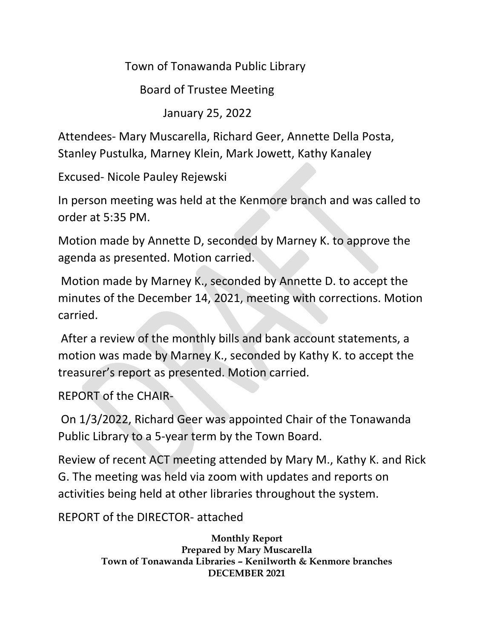Town of Tonawanda Public Library

Board of Trustee Meeting

January 25, 2022

Attendees- Mary Muscarella, Richard Geer, Annette Della Posta, Stanley Pustulka, Marney Klein, Mark Jowett, Kathy Kanaley

Excused- Nicole Pauley Rejewski

In person meeting was held at the Kenmore branch and was called to order at 5:35 PM.

Motion made by Annette D, seconded by Marney K. to approve the agenda as presented. Motion carried.

Motion made by Marney K., seconded by Annette D. to accept the minutes of the December 14, 2021, meeting with corrections. Motion carried.

After a review of the monthly bills and bank account statements, a motion was made by Marney K., seconded by Kathy K. to accept the treasurer's report as presented. Motion carried.

REPORT of the CHAIR-

On 1/3/2022, Richard Geer was appointed Chair of the Tonawanda Public Library to a 5-year term by the Town Board.

Review of recent ACT meeting attended by Mary M., Kathy K. and Rick G. The meeting was held via zoom with updates and reports on activities being held at other libraries throughout the system.

REPORT of the DIRECTOR- attached

**Monthly Report Prepared by Mary Muscarella Town of Tonawanda Libraries – Kenilworth & Kenmore branches DECEMBER 2021**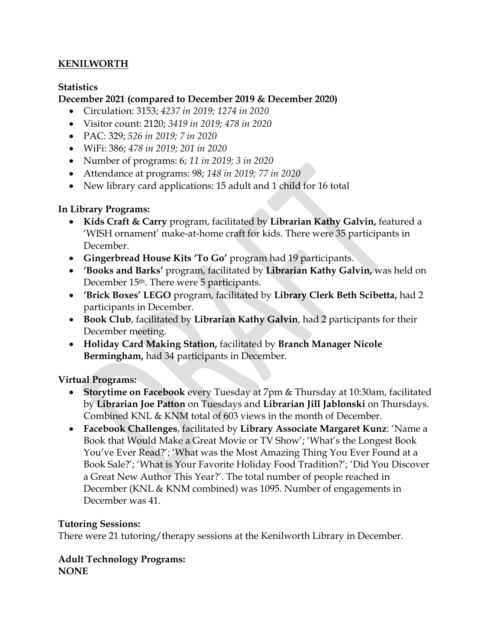# **KENILWORTH**

### **Statistics**

# **December 2021 (compared to December 2019 & December 2020)**

- Circulation: 3153; *4237 in 2019; 1274 in 2020*
- Visitor count: 2120; *3419 in 2019; 478 in 2020*
- PAC: 329; *526 in 2019; 7 in 2020*
- WiFi: 386; *478 in 2019; 201 in 2020*
- Number of programs: 6; *11 in 2019; 3 in 2020*
- Attendance at programs: 98; *148 in 2019; 77 in 2020*
- New library card applications: 15 adult and 1 child for 16 total

# **In Library Programs:**

- **Kids Craft & Carry** program, facilitated by **Librarian Kathy Galvin,** featured a 'WISH ornament' make-at-home craft for kids. There were 35 participants in December.
- **Gingerbread House Kits 'To Go'** program had 19 participants.
- **'Books and Barks'** program, facilitated by **Librarian Kathy Galvin,** was held on December 15<sup>th</sup>. There were 5 participants.
- **'Brick Boxes' LEGO** program, facilitated by **Library Clerk Beth Scibetta,** had 2 participants in December.
- **Book Club**, facilitated by **Librarian Kathy Galvin**, had 2 participants for their December meeting.
- **Holiday Card Making Station,** facilitated by **Branch Manager Nicole Bermingham,** had 34 participants in December.

# **Virtual Programs:**

- **Storytime on Facebook** every Tuesday at 7pm & Thursday at 10:30am, facilitated by **Librarian Joe Patton** on Tuesdays and **Librarian Jill Jablonski** on Thursdays. Combined KNL & KNM total of 603 views in the month of December.
- **Facebook Challenges**, facilitated by **Library Associate Margaret Kunz**: 'Name a Book that Would Make a Great Movie or TV Show'; 'What's the Longest Book You've Ever Read?'; 'What was the Most Amazing Thing You Ever Found at a Book Sale?'; 'What is Your Favorite Holiday Food Tradition?'; 'Did You Discover a Great New Author This Year?'. The total number of people reached in December (KNL & KNM combined) was 1095. Number of engagements in December was 41.

# **Tutoring Sessions:**

There were 21 tutoring/therapy sessions at the Kenilworth Library in December.

#### **Adult Technology Programs: NONE**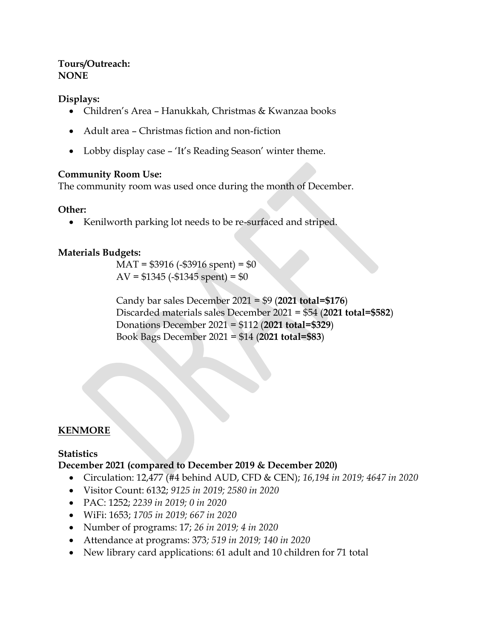### **Tours/Outreach: NONE**

### **Displays:**

- Children's Area Hanukkah, Christmas & Kwanzaa books
- Adult area Christmas fiction and non-fiction
- Lobby display case 'It's Reading Season' winter theme.

### **Community Room Use:**

The community room was used once during the month of December.

### **Other:**

• Kenilworth parking lot needs to be re-surfaced and striped.

### **Materials Budgets:**

 $MAT = $3916 (- $3916 spent) = $0$  $AV = $1345 (-$1345 spent) = $0$ 

Candy bar sales December 2021 = \$9 (**2021 total=\$176**) Discarded materials sales December 2021 = \$54 (**2021 total=\$582**) Donations December 2021 = \$112 (**2021 total=\$329**) Book Bags December 2021 = \$14 (**2021 total=\$83**)

# **KENMORE**

# **Statistics**

### **December 2021 (compared to December 2019 & December 2020)**

- Circulation: 12,477 (#4 behind AUD, CFD & CEN); *16,194 in 2019; 4647 in 2020*
- Visitor Count: 6132; *9125 in 2019; 2580 in 2020*
- PAC: 1252; *2239 in 2019; 0 in 2020*
- WiFi: 1653; *1705 in 2019; 667 in 2020*
- Number of programs: 17; *26 in 2019; 4 in 2020*
- Attendance at programs: 373*; 519 in 2019; 140 in 2020*
- New library card applications: 61 adult and 10 children for 71 total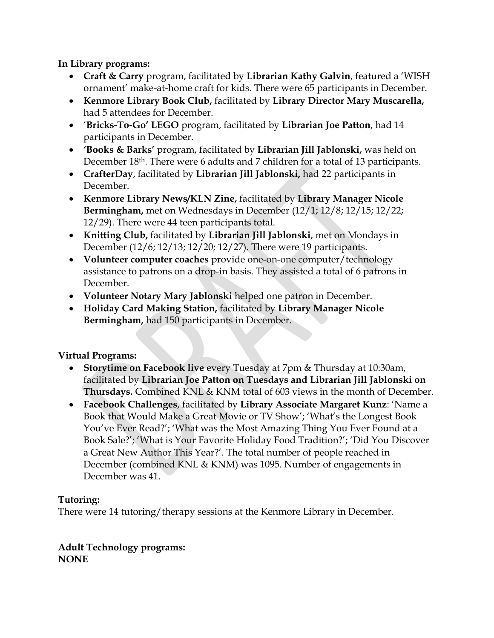**In Library programs:**

- **Craft & Carry** program, facilitated by **Librarian Kathy Galvin**, featured a 'WISH ornament' make-at-home craft for kids. There were 65 participants in December.
- **Kenmore Library Book Club,** facilitated by **Library Director Mary Muscarella,**  had 5 attendees for December.
- '**Bricks-To-Go' LEGO** program, facilitated by **Librarian Joe Patton**, had 14 participants in December.
- **'Books & Barks'** program, facilitated by **Librarian Jill Jablonski,** was held on December 18<sup>th</sup>. There were 6 adults and 7 children for a total of 13 participants.
- **CrafterDay**, facilitated by **Librarian Jill Jablonski,** had 22 participants in December.
- **Kenmore Library News/KLN Zine,** facilitated by **Library Manager Nicole Bermingham,** met on Wednesdays in December (12/1; 12/8; 12/15; 12/22; 12/29). There were 44 teen participants total.
- **Knitting Club,** facilitated by **Librarian Jill Jablonski**, met on Mondays in December (12/6; 12/13; 12/20; 12/27). There were 19 participants.
- **Volunteer computer coaches** provide one-on-one computer/technology assistance to patrons on a drop-in basis. They assisted a total of 6 patrons in December.
- **Volunteer Notary Mary Jablonski** helped one patron in December.
- **Holiday Card Making Station,** facilitated by **Library Manager Nicole Bermingham,** had 150 participants in December.

# **Virtual Programs:**

- **Storytime on Facebook live** every Tuesday at 7pm & Thursday at 10:30am, facilitated by **Librarian Joe Patton on Tuesdays and Librarian Jill Jablonski on Thursdays.** Combined KNL & KNM total of 603 views in the month of December.
- **Facebook Challenges**, facilitated by **Library Associate Margaret Kunz**: 'Name a Book that Would Make a Great Movie or TV Show'; 'What's the Longest Book You've Ever Read?'; 'What was the Most Amazing Thing You Ever Found at a Book Sale?'; 'What is Your Favorite Holiday Food Tradition?'; 'Did You Discover a Great New Author This Year?'. The total number of people reached in December (combined KNL & KNM) was 1095. Number of engagements in December was 41.

# **Tutoring:**

There were 14 tutoring/therapy sessions at the Kenmore Library in December.

**Adult Technology programs: NONE**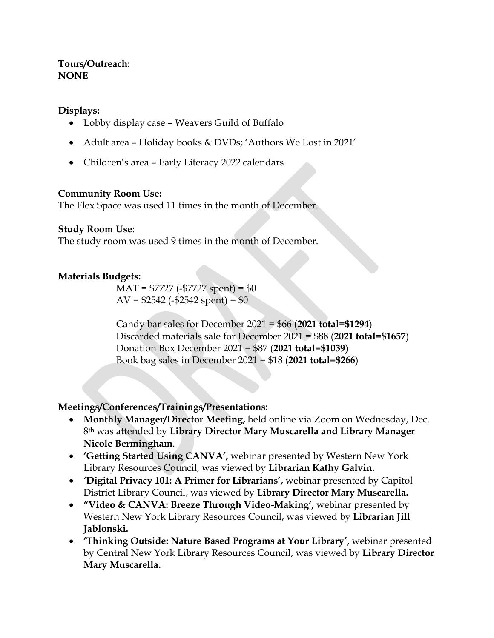### **Tours/Outreach: NONE**

### **Displays:**

- Lobby display case Weavers Guild of Buffalo
- Adult area Holiday books & DVDs; 'Authors We Lost in 2021'
- Children's area Early Literacy 2022 calendars

### **Community Room Use:**

The Flex Space was used 11 times in the month of December.

### **Study Room Use**:

The study room was used 9 times in the month of December.

### **Materials Budgets:**

 $MAT = $7727 (-$7727 spent) = $0$  $AV = $2542 (-$2542 spent) = $0$ 

Candy bar sales for December 2021 = \$66 (**2021 total=\$1294**) Discarded materials sale for December 2021 = \$88 (**2021 total=\$1657**) Donation Box December 2021 = \$87 (**2021 total=\$1039**) Book bag sales in December 2021 = \$18 (**2021 total=\$266**)

# **Meetings/Conferences/Trainings/Presentations:**

- **Monthly Manager/Director Meeting,** held online via Zoom on Wednesday, Dec. 8th was attended by **Library Director Mary Muscarella and Library Manager Nicole Bermingham**.
- **'Getting Started Using CANVA',** webinar presented by Western New York Library Resources Council, was viewed by **Librarian Kathy Galvin.**
- **'Digital Privacy 101: A Primer for Librarians',** webinar presented by Capitol District Library Council, was viewed by **Library Director Mary Muscarella.**
- **"Video & CANVA: Breeze Through Video-Making',** webinar presented by Western New York Library Resources Council, was viewed by **Librarian Jill Jablonski.**
- **'Thinking Outside: Nature Based Programs at Your Library',** webinar presented by Central New York Library Resources Council, was viewed by **Library Director Mary Muscarella.**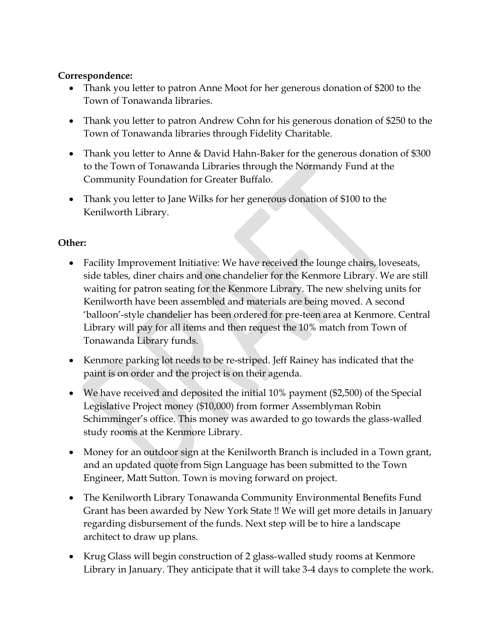# **Correspondence:**

- Thank you letter to patron Anne Moot for her generous donation of \$200 to the Town of Tonawanda libraries.
- Thank you letter to patron Andrew Cohn for his generous donation of \$250 to the Town of Tonawanda libraries through Fidelity Charitable.
- Thank you letter to Anne & David Hahn-Baker for the generous donation of \$300 to the Town of Tonawanda Libraries through the Normandy Fund at the Community Foundation for Greater Buffalo.
- Thank you letter to Jane Wilks for her generous donation of \$100 to the Kenilworth Library.

# **Other:**

- Facility Improvement Initiative: We have received the lounge chairs, loveseats, side tables, diner chairs and one chandelier for the Kenmore Library. We are still waiting for patron seating for the Kenmore Library. The new shelving units for Kenilworth have been assembled and materials are being moved. A second 'balloon'-style chandelier has been ordered for pre-teen area at Kenmore. Central Library will pay for all items and then request the 10% match from Town of Tonawanda Library funds.
- Kenmore parking lot needs to be re-striped. Jeff Rainey has indicated that the paint is on order and the project is on their agenda.
- We have received and deposited the initial 10% payment (\$2,500) of the Special Legislative Project money (\$10,000) from former Assemblyman Robin Schimminger's office. This money was awarded to go towards the glass-walled study rooms at the Kenmore Library.
- Money for an outdoor sign at the Kenilworth Branch is included in a Town grant, and an updated quote from Sign Language has been submitted to the Town Engineer, Matt Sutton. Town is moving forward on project.
- The Kenilworth Library Tonawanda Community Environmental Benefits Fund Grant has been awarded by New York State !! We will get more details in January regarding disbursement of the funds. Next step will be to hire a landscape architect to draw up plans.
- Krug Glass will begin construction of 2 glass-walled study rooms at Kenmore Library in January. They anticipate that it will take 3-4 days to complete the work.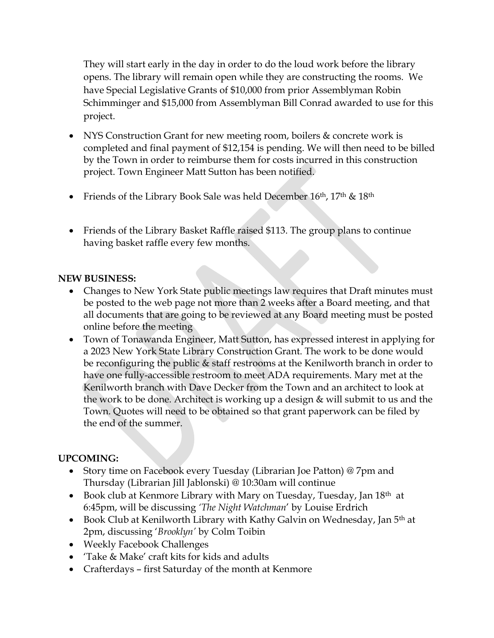They will start early in the day in order to do the loud work before the library opens. The library will remain open while they are constructing the rooms. We have Special Legislative Grants of \$10,000 from prior Assemblyman Robin Schimminger and \$15,000 from Assemblyman Bill Conrad awarded to use for this project.

- NYS Construction Grant for new meeting room, boilers & concrete work is completed and final payment of \$12,154 is pending. We will then need to be billed by the Town in order to reimburse them for costs incurred in this construction project. Town Engineer Matt Sutton has been notified.
- Friends of the Library Book Sale was held December 16th, 17th & 18th
- Friends of the Library Basket Raffle raised \$113. The group plans to continue having basket raffle every few months.

# **NEW BUSINESS:**

- Changes to New York State public meetings law requires that Draft minutes must be posted to the web page not more than 2 weeks after a Board meeting, and that all documents that are going to be reviewed at any Board meeting must be posted online before the meeting
- Town of Tonawanda Engineer, Matt Sutton, has expressed interest in applying for a 2023 New York State Library Construction Grant. The work to be done would be reconfiguring the public & staff restrooms at the Kenilworth branch in order to have one fully-accessible restroom to meet ADA requirements. Mary met at the Kenilworth branch with Dave Decker from the Town and an architect to look at the work to be done. Architect is working up a design & will submit to us and the Town. Quotes will need to be obtained so that grant paperwork can be filed by the end of the summer.

# **UPCOMING:**

- Story time on Facebook every Tuesday (Librarian Joe Patton) @ 7pm and Thursday (Librarian Jill Jablonski) @ 10:30am will continue
- Book club at Kenmore Library with Mary on Tuesday, Tuesday, Jan 18<sup>th</sup> at 6:45pm, will be discussing *'The Night Watchman*' by Louise Erdrich
- Book Club at Kenilworth Library with Kathy Galvin on Wednesday, Jan 5<sup>th</sup> at 2pm, discussing '*Brooklyn'* by Colm Toibin
- Weekly Facebook Challenges
- 'Take & Make' craft kits for kids and adults
- Crafterdays first Saturday of the month at Kenmore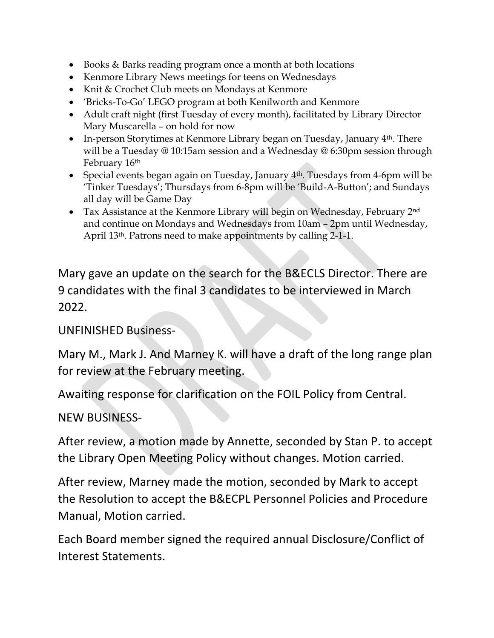- Books & Barks reading program once a month at both locations
- Kenmore Library News meetings for teens on Wednesdays
- Knit & Crochet Club meets on Mondays at Kenmore
- 'Bricks-To-Go' LEGO program at both Kenilworth and Kenmore
- Adult craft night (first Tuesday of every month), facilitated by Library Director Mary Muscarella – on hold for now
- In-person Storytimes at Kenmore Library began on Tuesday, January  $4<sup>th</sup>$ . There will be a Tuesday @ 10:15am session and a Wednesday @ 6:30pm session through February 16th
- Special events began again on Tuesday, January  $4<sup>th</sup>$ . Tuesdays from 4-6pm will be 'Tinker Tuesdays'; Thursdays from 6-8pm will be 'Build-A-Button'; and Sundays all day will be Game Day
- Tax Assistance at the Kenmore Library will begin on Wednesday, February 2<sup>nd</sup> and continue on Mondays and Wednesdays from 10am – 2pm until Wednesday, April 13th. Patrons need to make appointments by calling 2-1-1.

Mary gave an update on the search for the B&ECLS Director. There are 9 candidates with the final 3 candidates to be interviewed in March 2022.

# UNFINISHED Business-

Mary M., Mark J. And Marney K. will have a draft of the long range plan for review at the February meeting.

Awaiting response for clarification on the FOIL Policy from Central.

NEW BUSINESS-

After review, a motion made by Annette, seconded by Stan P. to accept the Library Open Meeting Policy without changes. Motion carried.

After review, Marney made the motion, seconded by Mark to accept the Resolution to accept the B&ECPL Personnel Policies and Procedure Manual, Motion carried.

Each Board member signed the required annual Disclosure/Conflict of Interest Statements.